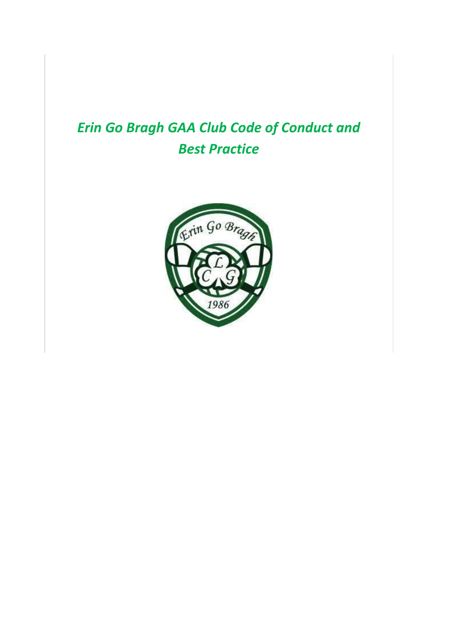# *Erin Go Bragh GAA Club Code of Conduct and Best Practice*

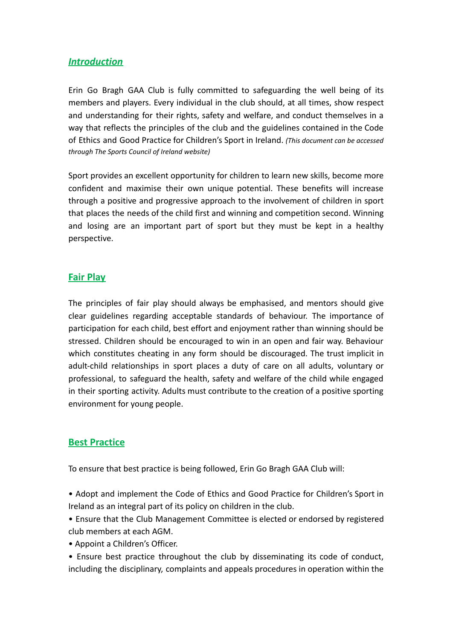#### *Introduction*

Erin Go Bragh GAA Club is fully committed to safeguarding the well being of its members and players. Every individual in the club should, at all times, show respect and understanding for their rights, safety and welfare, and conduct themselves in a way that reflects the principles of the club and the guidelines contained in the Code of Ethics and Good Practice for Children's Sport in Ireland. *(This document can be accessed through The Sports Council of Ireland website)*

Sport provides an excellent opportunity for children to learn new skills, become more confident and maximise their own unique potential. These benefits will increase through a positive and progressive approach to the involvement of children in sport that places the needs of the child first and winning and competition second. Winning and losing are an important part of sport but they must be kept in a healthy perspective.

#### **Fair Play**

The principles of fair play should always be emphasised, and mentors should give clear guidelines regarding acceptable standards of behaviour. The importance of participation for each child, best effort and enjoyment rather than winning should be stressed. Children should be encouraged to win in an open and fair way. Behaviour which constitutes cheating in any form should be discouraged. The trust implicit in adult-child relationships in sport places a duty of care on all adults, voluntary or professional, to safeguard the health, safety and welfare of the child while engaged in their sporting activity. Adults must contribute to the creation of a positive sporting environment for young people.

#### **Best Practice**

To ensure that best practice is being followed, Erin Go Bragh GAA Club will:

- Adopt and implement the Code of Ethics and Good Practice for Children's Sport in Ireland as an integral part of its policy on children in the club.
- Ensure that the Club Management Committee is elected or endorsed by registered club members at each AGM.
- Appoint a Children's Officer.
- Ensure best practice throughout the club by disseminating its code of conduct, including the disciplinary, complaints and appeals procedures in operation within the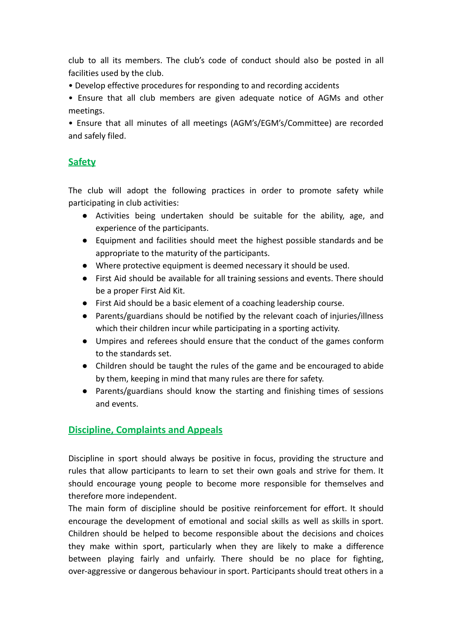club to all its members. The club's code of conduct should also be posted in all facilities used by the club.

• Develop effective procedures for responding to and recording accidents

• Ensure that all club members are given adequate notice of AGMs and other meetings.

• Ensure that all minutes of all meetings (AGM's/EGM's/Committee) are recorded and safely filed.

# **Safety**

The club will adopt the following practices in order to promote safety while participating in club activities:

- Activities being undertaken should be suitable for the ability, age, and experience of the participants.
- Equipment and facilities should meet the highest possible standards and be appropriate to the maturity of the participants.
- Where protective equipment is deemed necessary it should be used.
- First Aid should be available for all training sessions and events. There should be a proper First Aid Kit.
- First Aid should be a basic element of a coaching leadership course.
- Parents/guardians should be notified by the relevant coach of injuries/illness which their children incur while participating in a sporting activity.
- Umpires and referees should ensure that the conduct of the games conform to the standards set.
- Children should be taught the rules of the game and be encouraged to abide by them, keeping in mind that many rules are there for safety.
- Parents/guardians should know the starting and finishing times of sessions and events.

# **Discipline, Complaints and Appeals**

Discipline in sport should always be positive in focus, providing the structure and rules that allow participants to learn to set their own goals and strive for them. It should encourage young people to become more responsible for themselves and therefore more independent.

The main form of discipline should be positive reinforcement for effort. It should encourage the development of emotional and social skills as well as skills in sport. Children should be helped to become responsible about the decisions and choices they make within sport, particularly when they are likely to make a difference between playing fairly and unfairly. There should be no place for fighting, over-aggressive or dangerous behaviour in sport. Participants should treat others in a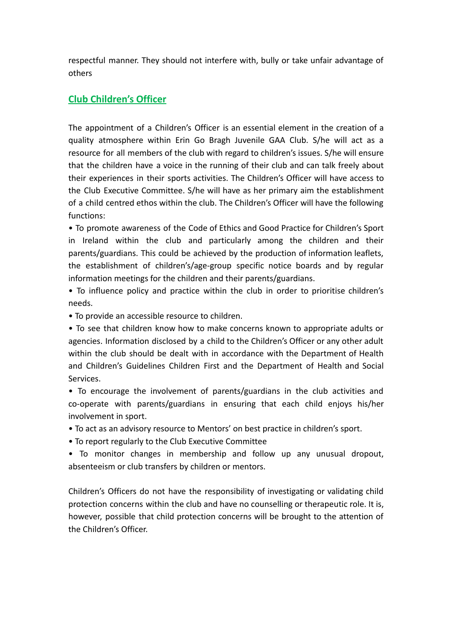respectful manner. They should not interfere with, bully or take unfair advantage of others

#### **Club Children's Officer**

The appointment of a Children's Officer is an essential element in the creation of a quality atmosphere within Erin Go Bragh Juvenile GAA Club. S/he will act as a resource for all members of the club with regard to children's issues. S/he will ensure that the children have a voice in the running of their club and can talk freely about their experiences in their sports activities. The Children's Officer will have access to the Club Executive Committee. S/he will have as her primary aim the establishment of a child centred ethos within the club. The Children's Officer will have the following functions:

• To promote awareness of the Code of Ethics and Good Practice for Children's Sport in Ireland within the club and particularly among the children and their parents/guardians. This could be achieved by the production of information leaflets, the establishment of children's/age-group specific notice boards and by regular information meetings for the children and their parents/guardians.

• To influence policy and practice within the club in order to prioritise children's needs.

• To provide an accessible resource to children.

• To see that children know how to make concerns known to appropriate adults or agencies. Information disclosed by a child to the Children's Officer or any other adult within the club should be dealt with in accordance with the Department of Health and Children's Guidelines Children First and the Department of Health and Social Services.

• To encourage the involvement of parents/guardians in the club activities and co-operate with parents/guardians in ensuring that each child enjoys his/her involvement in sport.

• To act as an advisory resource to Mentors' on best practice in children's sport.

• To report regularly to the Club Executive Committee

• To monitor changes in membership and follow up any unusual dropout, absenteeism or club transfers by children or mentors.

Children's Officers do not have the responsibility of investigating or validating child protection concerns within the club and have no counselling or therapeutic role. It is, however, possible that child protection concerns will be brought to the attention of the Children's Officer.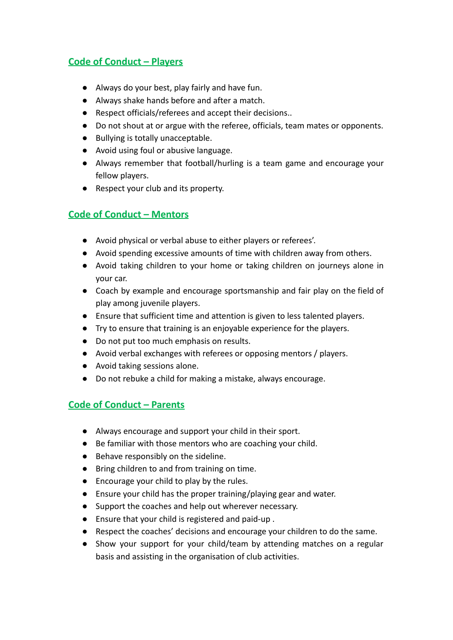# **Code of Conduct – Players**

- Always do your best, play fairly and have fun.
- Always shake hands before and after a match.
- Respect officials/referees and accept their decisions..
- Do not shout at or argue with the referee, officials, team mates or opponents.
- Bullying is totally unacceptable.
- Avoid using foul or abusive language.
- Always remember that football/hurling is a team game and encourage your fellow players.
- Respect your club and its property.

# **Code of Conduct – Mentors**

- Avoid physical or verbal abuse to either players or referees'.
- Avoid spending excessive amounts of time with children away from others.
- Avoid taking children to your home or taking children on journeys alone in your car.
- Coach by example and encourage sportsmanship and fair play on the field of play among juvenile players.
- Ensure that sufficient time and attention is given to less talented players.
- Try to ensure that training is an enjoyable experience for the players.
- Do not put too much emphasis on results.
- Avoid verbal exchanges with referees or opposing mentors / players.
- Avoid taking sessions alone.
- Do not rebuke a child for making a mistake, always encourage.

# **Code of Conduct – Parents**

- Always encourage and support your child in their sport.
- Be familiar with those mentors who are coaching your child.
- Behave responsibly on the sideline.
- Bring children to and from training on time.
- Encourage your child to play by the rules.
- Ensure your child has the proper training/playing gear and water.
- Support the coaches and help out wherever necessary.
- Ensure that your child is registered and paid-up .
- Respect the coaches' decisions and encourage your children to do the same.
- Show your support for your child/team by attending matches on a regular basis and assisting in the organisation of club activities.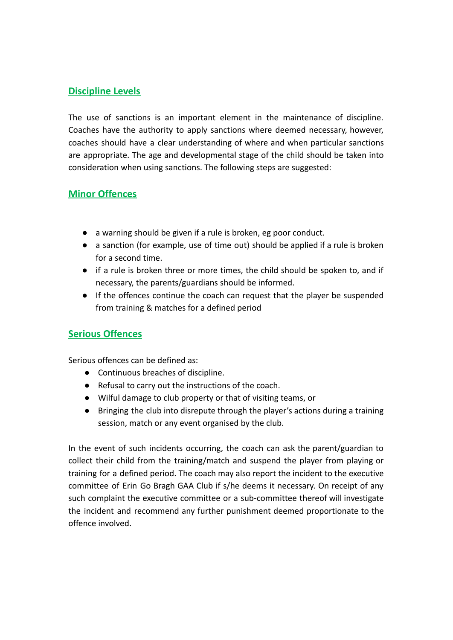#### **Discipline Levels**

The use of sanctions is an important element in the maintenance of discipline. Coaches have the authority to apply sanctions where deemed necessary, however, coaches should have a clear understanding of where and when particular sanctions are appropriate. The age and developmental stage of the child should be taken into consideration when using sanctions. The following steps are suggested:

#### **Minor Offences**

- a warning should be given if a rule is broken, eg poor conduct.
- a sanction (for example, use of time out) should be applied if a rule is broken for a second time.
- if a rule is broken three or more times, the child should be spoken to, and if necessary, the parents/guardians should be informed.
- If the offences continue the coach can request that the player be suspended from training & matches for a defined period

# **Serious Offences**

Serious offences can be defined as:

- Continuous breaches of discipline.
- Refusal to carry out the instructions of the coach.
- Wilful damage to club property or that of visiting teams, or
- Bringing the club into disrepute through the player's actions during a training session, match or any event organised by the club.

In the event of such incidents occurring, the coach can ask the parent/guardian to collect their child from the training/match and suspend the player from playing or training for a defined period. The coach may also report the incident to the executive committee of Erin Go Bragh GAA Club if s/he deems it necessary. On receipt of any such complaint the executive committee or a sub-committee thereof will investigate the incident and recommend any further punishment deemed proportionate to the offence involved.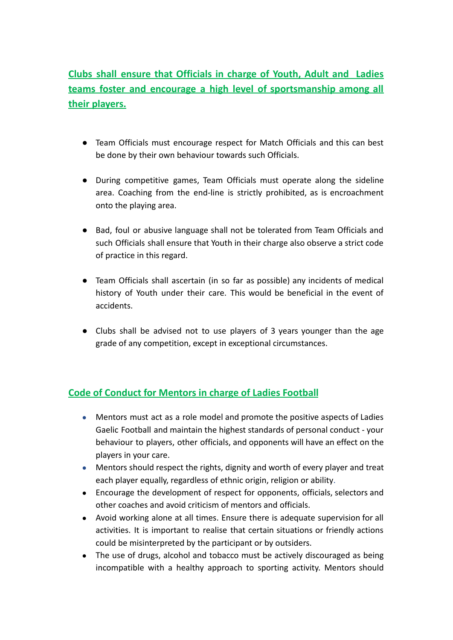# **Clubs shall ensure that Officials in charge of Youth, Adult and Ladies teams foster and encourage a high level of sportsmanship among all their players.**

- Team Officials must encourage respect for Match Officials and this can best be done by their own behaviour towards such Officials.
- During competitive games, Team Officials must operate along the sideline area. Coaching from the end-line is strictly prohibited, as is encroachment onto the playing area.
- Bad, foul or abusive language shall not be tolerated from Team Officials and such Officials shall ensure that Youth in their charge also observe a strict code of practice in this regard.
- Team Officials shall ascertain (in so far as possible) any incidents of medical history of Youth under their care. This would be beneficial in the event of accidents.
- Clubs shall be advised not to use players of 3 years younger than the age grade of any competition, except in exceptional circumstances.

# **Code of Conduct for Mentors in charge of Ladies Football**

- Mentors must act as a role model and promote the positive aspects of Ladies Gaelic Football and maintain the highest standards of personal conduct - your behaviour to players, other officials, and opponents will have an effect on the players in your care.
- Mentors should respect the rights, dignity and worth of every player and treat each player equally, regardless of ethnic origin, religion or ability.
- Encourage the development of respect for opponents, officials, selectors and other coaches and avoid criticism of mentors and officials.
- Avoid working alone at all times. Ensure there is adequate supervision for all activities. It is important to realise that certain situations or friendly actions could be misinterpreted by the participant or by outsiders.
- The use of drugs, alcohol and tobacco must be actively discouraged as being incompatible with a healthy approach to sporting activity. Mentors should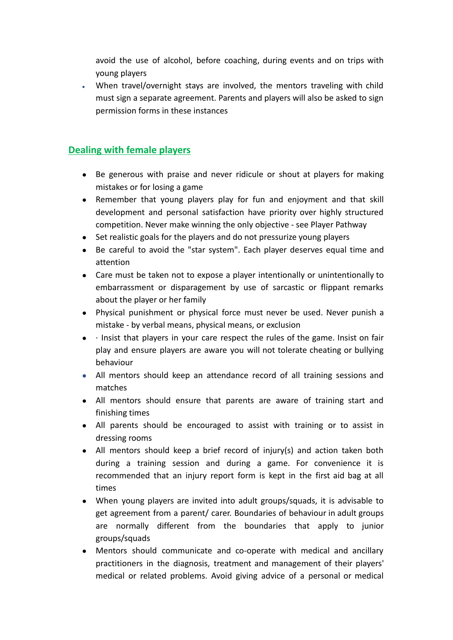avoid the use of alcohol, before coaching, during events and on trips with young players

When travel/overnight stays are involved, the mentors traveling with child must sign a separate agreement. Parents and players will also be asked to sign permission forms in these instances

#### **Dealing with female players**

- Be generous with praise and never ridicule or shout at players for making mistakes or for losing a game
- Remember that young players play for fun and enjoyment and that skill development and personal satisfaction have priority over highly structured competition. Never make winning the only objective - see Player Pathway
- Set realistic goals for the players and do not pressurize young players
- Be careful to avoid the "star system". Each player deserves equal time and attention
- Care must be taken not to expose a player intentionally or unintentionally to embarrassment or disparagement by use of sarcastic or flippant remarks about the player or her family
- Physical punishment or physical force must never be used. Never punish a mistake - by verbal means, physical means, or exclusion
- $\bullet$  · Insist that players in your care respect the rules of the game. Insist on fair play and ensure players are aware you will not tolerate cheating or bullying behaviour
- All mentors should keep an attendance record of all training sessions and matches
- All mentors should ensure that parents are aware of training start and finishing times
- All parents should be encouraged to assist with training or to assist in dressing rooms
- All mentors should keep a brief record of injury(s) and action taken both during a training session and during a game. For convenience it is recommended that an injury report form is kept in the first aid bag at all times
- When young players are invited into adult groups/squads, it is advisable to get agreement from a parent/ carer. Boundaries of behaviour in adult groups are normally different from the boundaries that apply to junior groups/squads
- Mentors should communicate and co-operate with medical and ancillary practitioners in the diagnosis, treatment and management of their players' medical or related problems. Avoid giving advice of a personal or medical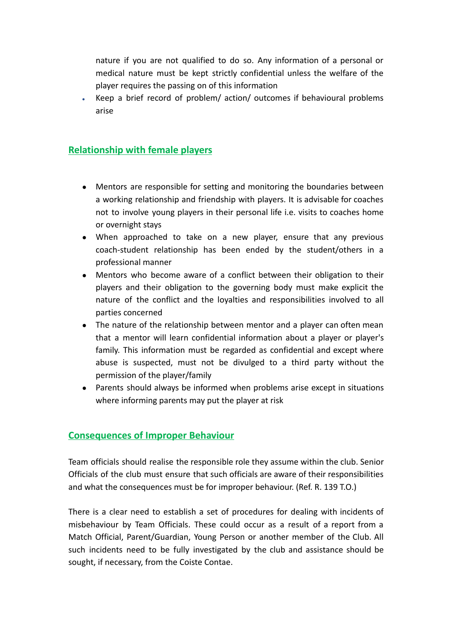nature if you are not qualified to do so. Any information of a personal or medical nature must be kept strictly confidential unless the welfare of the player requires the passing on of this information

Keep a brief record of problem/ action/ outcomes if behavioural problems arise

### **Relationship with female players**

- Mentors are responsible for setting and monitoring the boundaries between a working relationship and friendship with players. It is advisable for coaches not to involve young players in their personal life i.e. visits to coaches home or overnight stays
- When approached to take on a new player, ensure that any previous coach-student relationship has been ended by the student/others in a professional manner
- Mentors who become aware of a conflict between their obligation to their players and their obligation to the governing body must make explicit the nature of the conflict and the loyalties and responsibilities involved to all parties concerned
- The nature of the relationship between mentor and a player can often mean that a mentor will learn confidential information about a player or player's family. This information must be regarded as confidential and except where abuse is suspected, must not be divulged to a third party without the permission of the player/family
- Parents should always be informed when problems arise except in situations where informing parents may put the player at risk

#### **Consequences of Improper Behaviour**

Team officials should realise the responsible role they assume within the club. Senior Officials of the club must ensure that such officials are aware of their responsibilities and what the consequences must be for improper behaviour. (Ref. R. 139 T.O.)

There is a clear need to establish a set of procedures for dealing with incidents of misbehaviour by Team Officials. These could occur as a result of a report from a Match Official, Parent/Guardian, Young Person or another member of the Club. All such incidents need to be fully investigated by the club and assistance should be sought, if necessary, from the Coiste Contae.